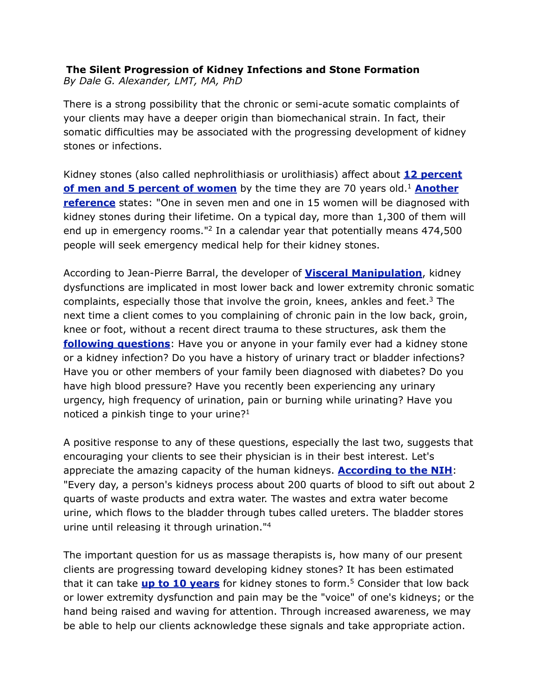## **The Silent Progression of Kidney Infections and Stone Formation** *By Dale G. Alexander, LMT, MA, PhD*

There is a strong possibility that the chronic or semi-acute somatic complaints of your clients may have a deeper origin than biomechanical strain. In fact, their somatic difficulties may be associated with the progressing development of kidney stones or infections.

Kidney stones (also called nephrolithiasis or urolithiasis) affect about **[12 percent](http://www.uptodate.com/patients/content/topic.do?topicKey=~wwC1.E6r/jr6Pk)  [of men and 5 percent of women](http://www.uptodate.com/patients/content/topic.do?topicKey=~wwC1.E6r/jr6Pk)** by the time they are 70 years old.<sup>1</sup> Another **[reference](http://findarticles.com/p/articles/mi_m0813/is_1_36/ai_n31340140/)** states: "One in seven men and one in 15 women will be diagnosed with kidney stones during their lifetime. On a typical day, more than 1,300 of them will end up in emergency rooms."2 In a calendar year that potentially means 474,500 people will seek emergency medical help for their kidney stones.

According to Jean-Pierre Barral, the developer of **[Visceral Manipulation](http://www.barralinstitute.com/)**, kidney dysfunctions are implicated in most lower back and lower extremity chronic somatic complaints, especially those that involve the groin, knees, ankles and feet.<sup>3</sup> The next time a client comes to you complaining of chronic pain in the low back, groin, knee or foot, without a recent direct trauma to these structures, ask them the **[following questions](http://www.uptodate.com/patients/content/topic.do?topicKey=%7EwwC1.E6r/jr6Pk)**: Have you or anyone in your family ever had a kidney stone or a kidney infection? Do you have a history of urinary tract or bladder infections? Have you or other members of your family been diagnosed with diabetes? Do you have high blood pressure? Have you recently been experiencing any urinary urgency, high frequency of urination, pain or burning while urinating? Have you noticed a pinkish tinge to your urine? $1$ 

A positive response to any of these questions, especially the last two, suggests that encouraging your clients to see their physician is in their best interest. Let's appreciate the amazing capacity of the human kidneys. **[According to the NIH](http://kidney.niddk.nih.gov/kudiseases/pubs/yourkidneys/index.htm#tests)**: "Every day, a person's kidneys process about 200 quarts of blood to sift out about 2 quarts of waste products and extra water. The wastes and extra water become urine, which flows to the bladder through tubes called ureters. The bladder stores urine until releasing it through urination."4

The important question for us as massage therapists is, how many of our present clients are progressing toward developing kidney stones? It has been estimated that it can take **[up to 10 years](http://www.healthandage.org/professional/health-center/27/news-home/3449/New-theory-for-kidney-stone-formation.html)** for kidney stones to form.5 Consider that low back or lower extremity dysfunction and pain may be the "voice" of one's kidneys; or the hand being raised and waving for attention. Through increased awareness, we may be able to help our clients acknowledge these signals and take appropriate action.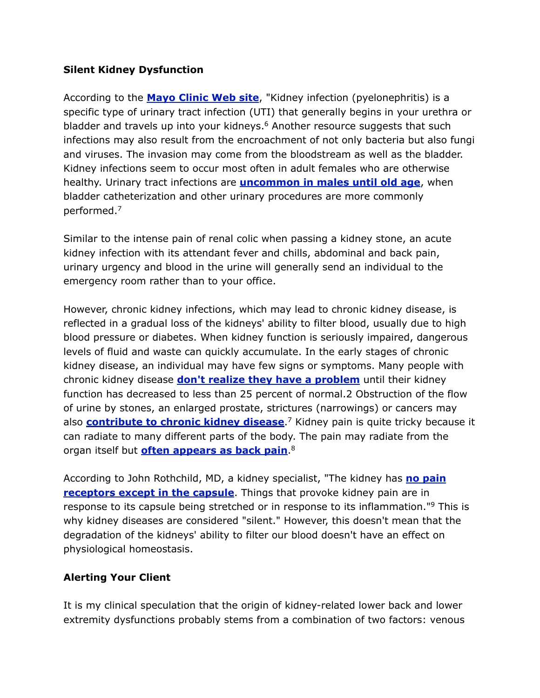## **Silent Kidney Dysfunction**

According to the **[Mayo Clinic Web site](http://www.mayoclinic.com/health/kidney-infection/DS00593)**, "Kidney infection (pyelonephritis) is a specific type of urinary tract infection (UTI) that generally begins in your urethra or bladder and travels up into your kidneys.<sup>6</sup> Another resource suggests that such infections may also result from the encroachment of not only bacteria but also fungi and viruses. The invasion may come from the bloodstream as well as the bladder. Kidney infections seem to occur most often in adult females who are otherwise healthy. Urinary tract infections are **[uncommon in males until old age](http://www.healthline.com/galecontent/kidney-infections.)**, when bladder catheterization and other urinary procedures are more commonly performed.7

Similar to the intense pain of renal colic when passing a kidney stone, an acute kidney infection with its attendant fever and chills, abdominal and back pain, urinary urgency and blood in the urine will generally send an individual to the emergency room rather than to your office.

However, chronic kidney infections, which may lead to chronic kidney disease, is reflected in a gradual loss of the kidneys' ability to filter blood, usually due to high blood pressure or diabetes. When kidney function is seriously impaired, dangerous levels of fluid and waste can quickly accumulate. In the early stages of chronic kidney disease, an individual may have few signs or symptoms. Many people with chronic kidney disease **[don't realize they have a problem](http://findarticles.com/p/articles/mi_m0813/is_1_36/ai_n31340140/)** until their kidney function has decreased to less than 25 percent of normal.2 Obstruction of the flow of urine by stones, an enlarged prostate, strictures (narrowings) or cancers may also **[contribute to chronic kidney disease](http://www.healthline.com/galecontent/kidney-infections.)**.7 Kidney pain is quite tricky because it can radiate to many different parts of the body. The pain may radiate from the organ itself but **[often appears as back pain](http://health.discovery.com/centers/pain/back/back_kidney.html)**.8

According to John Rothchild, MD, a kidney specialist, "The kidney has **[no pain](http://www.bbsonline.org/documents/a/00/00/05/21/bbs00000521-00/bbs.neur5.mcmahon.html)  [receptors except in the capsule](http://www.bbsonline.org/documents/a/00/00/05/21/bbs00000521-00/bbs.neur5.mcmahon.html)**. Things that provoke kidney pain are in response to its capsule being stretched or in response to its inflammation."9 This is why kidney diseases are considered "silent." However, this doesn't mean that the degradation of the kidneys' ability to filter our blood doesn't have an effect on physiological homeostasis.

## **Alerting Your Client**

It is my clinical speculation that the origin of kidney-related lower back and lower extremity dysfunctions probably stems from a combination of two factors: venous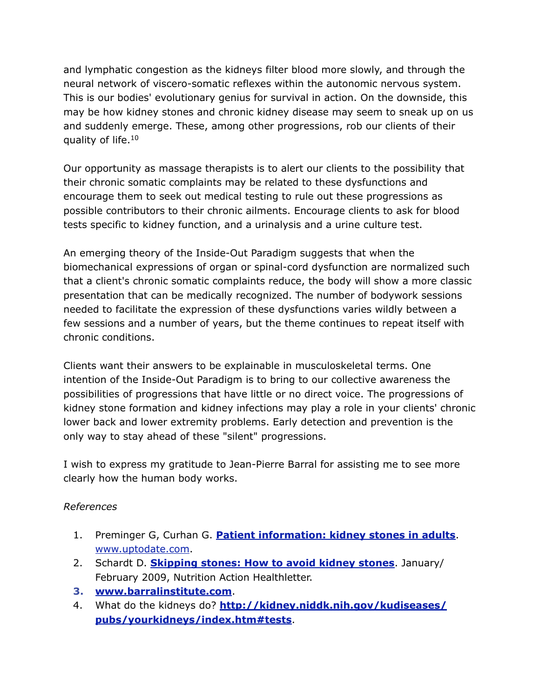and lymphatic congestion as the kidneys filter blood more slowly, and through the neural network of viscero-somatic reflexes within the autonomic nervous system. This is our bodies' evolutionary genius for survival in action. On the downside, this may be how kidney stones and chronic kidney disease may seem to sneak up on us and suddenly emerge. These, among other progressions, rob our clients of their quality of life.10

Our opportunity as massage therapists is to alert our clients to the possibility that their chronic somatic complaints may be related to these dysfunctions and encourage them to seek out medical testing to rule out these progressions as possible contributors to their chronic ailments. Encourage clients to ask for blood tests specific to kidney function, and a urinalysis and a urine culture test.

An emerging theory of the Inside-Out Paradigm suggests that when the biomechanical expressions of organ or spinal-cord dysfunction are normalized such that a client's chronic somatic complaints reduce, the body will show a more classic presentation that can be medically recognized. The number of bodywork sessions needed to facilitate the expression of these dysfunctions varies wildly between a few sessions and a number of years, but the theme continues to repeat itself with chronic conditions.

Clients want their answers to be explainable in musculoskeletal terms. One intention of the Inside-Out Paradigm is to bring to our collective awareness the possibilities of progressions that have little or no direct voice. The progressions of kidney stone formation and kidney infections may play a role in your clients' chronic lower back and lower extremity problems. Early detection and prevention is the only way to stay ahead of these "silent" progressions.

I wish to express my gratitude to Jean-Pierre Barral for assisting me to see more clearly how the human body works.

## *References*

- 1. Preminger G, Curhan G. **[Patient information: kidney stones in adults](http://www.uptodate.com/patients/content/topic.do?topicKey=%7EwwC1.E6r/jr6Pk)**. [www.uptodate.com.](http://www.uptodate.com)
- 2. Schardt D. **[Skipping stones: How to avoid kidney stones](http://findarticles.com/p/articles/mi_m0813/is_1_36/ai_n31340140/)**. January/ February 2009, Nutrition Action Healthletter.
- **3. [www.barralinstitute.com](http://www.barralinstitute.com/)**.
- 4. What do the kidneys do? **[http://kidney.niddk.nih.gov/kudiseases/](http://kidney.niddk.nih.gov/kudiseases/pubs/yourkidneys/index.htm#tests) [pubs/yourkidneys/index.htm#tests](http://kidney.niddk.nih.gov/kudiseases/pubs/yourkidneys/index.htm#tests)**.